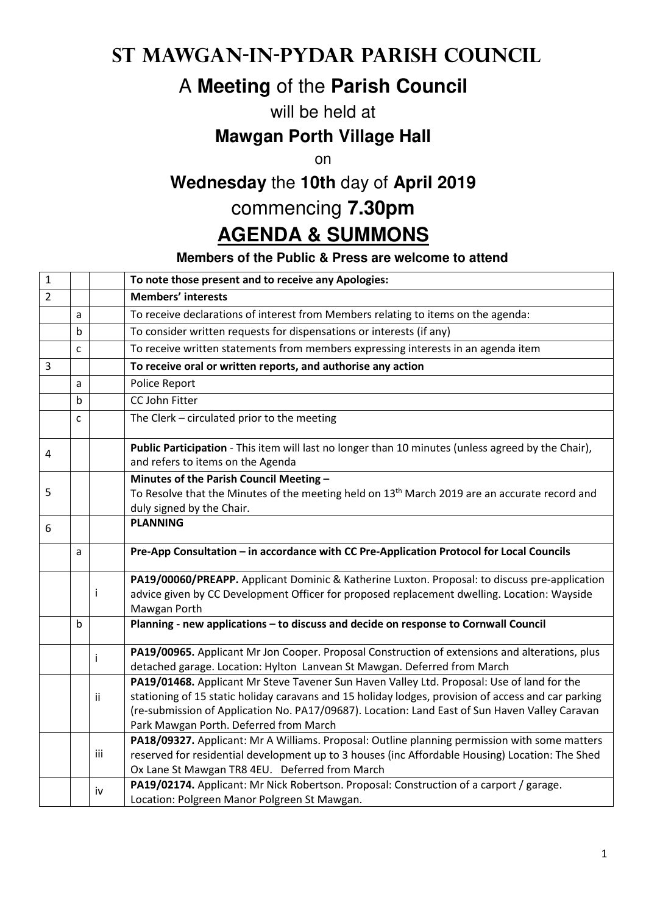## **St Mawgan-in-Pydar Parish Council**

# A **Meeting** of the **Parish Council**

### will be held at

### **Mawgan Porth Village Hall**

on

# **Wednesday** the **10th** day of **April 2019**

### commencing **7.30pm**

# **AGENDA & SUMMONS**

#### **Members of the Public & Press are welcome to attend**

| $\mathbf{1}$   |   |     | To note those present and to receive any Apologies:                                                                                                                                                                                                                                                                                           |
|----------------|---|-----|-----------------------------------------------------------------------------------------------------------------------------------------------------------------------------------------------------------------------------------------------------------------------------------------------------------------------------------------------|
| $\overline{2}$ |   |     | <b>Members' interests</b>                                                                                                                                                                                                                                                                                                                     |
|                | a |     | To receive declarations of interest from Members relating to items on the agenda:                                                                                                                                                                                                                                                             |
|                | b |     | To consider written requests for dispensations or interests (if any)                                                                                                                                                                                                                                                                          |
|                | C |     | To receive written statements from members expressing interests in an agenda item                                                                                                                                                                                                                                                             |
| $\overline{3}$ |   |     | To receive oral or written reports, and authorise any action                                                                                                                                                                                                                                                                                  |
|                | a |     | Police Report                                                                                                                                                                                                                                                                                                                                 |
|                | b |     | CC John Fitter                                                                                                                                                                                                                                                                                                                                |
|                | C |     | The Clerk - circulated prior to the meeting                                                                                                                                                                                                                                                                                                   |
| 4              |   |     | Public Participation - This item will last no longer than 10 minutes (unless agreed by the Chair),<br>and refers to items on the Agenda                                                                                                                                                                                                       |
|                |   |     | Minutes of the Parish Council Meeting -                                                                                                                                                                                                                                                                                                       |
| 5              |   |     | To Resolve that the Minutes of the meeting held on 13 <sup>th</sup> March 2019 are an accurate record and                                                                                                                                                                                                                                     |
|                |   |     | duly signed by the Chair.                                                                                                                                                                                                                                                                                                                     |
| 6              |   |     | <b>PLANNING</b>                                                                                                                                                                                                                                                                                                                               |
|                | a |     | Pre-App Consultation - in accordance with CC Pre-Application Protocol for Local Councils                                                                                                                                                                                                                                                      |
|                |   |     | PA19/00060/PREAPP. Applicant Dominic & Katherine Luxton. Proposal: to discuss pre-application                                                                                                                                                                                                                                                 |
|                |   | i   | advice given by CC Development Officer for proposed replacement dwelling. Location: Wayside<br>Mawgan Porth                                                                                                                                                                                                                                   |
|                | b |     | Planning - new applications - to discuss and decide on response to Cornwall Council                                                                                                                                                                                                                                                           |
|                |   | Ť   | PA19/00965. Applicant Mr Jon Cooper. Proposal Construction of extensions and alterations, plus<br>detached garage. Location: Hylton Lanvean St Mawgan. Deferred from March                                                                                                                                                                    |
|                |   | ii. | PA19/01468. Applicant Mr Steve Tavener Sun Haven Valley Ltd. Proposal: Use of land for the<br>stationing of 15 static holiday caravans and 15 holiday lodges, provision of access and car parking<br>(re-submission of Application No. PA17/09687). Location: Land East of Sun Haven Valley Caravan<br>Park Mawgan Porth. Deferred from March |
|                |   | iii | PA18/09327. Applicant: Mr A Williams. Proposal: Outline planning permission with some matters<br>reserved for residential development up to 3 houses (inc Affordable Housing) Location: The Shed<br>Ox Lane St Mawgan TR8 4EU. Deferred from March                                                                                            |
|                |   | iv  | PA19/02174. Applicant: Mr Nick Robertson. Proposal: Construction of a carport / garage.<br>Location: Polgreen Manor Polgreen St Mawgan.                                                                                                                                                                                                       |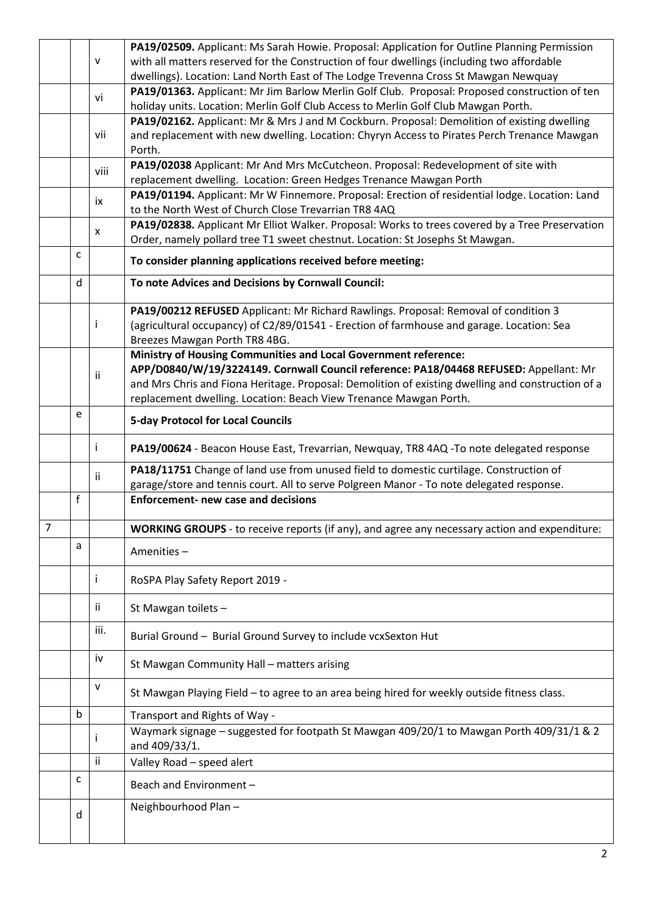|                |   |              | PA19/02509. Applicant: Ms Sarah Howie. Proposal: Application for Outline Planning Permission         |
|----------------|---|--------------|------------------------------------------------------------------------------------------------------|
|                |   | $\mathsf{V}$ | with all matters reserved for the Construction of four dwellings (including two affordable           |
|                |   |              | dwellings). Location: Land North East of The Lodge Trevenna Cross St Mawgan Newquay                  |
|                |   | vi           | PA19/01363. Applicant: Mr Jim Barlow Merlin Golf Club. Proposal: Proposed construction of ten        |
|                |   |              | holiday units. Location: Merlin Golf Club Access to Merlin Golf Club Mawgan Porth.                   |
|                |   |              | PA19/02162. Applicant: Mr & Mrs J and M Cockburn. Proposal: Demolition of existing dwelling          |
|                |   | vii          | and replacement with new dwelling. Location: Chyryn Access to Pirates Perch Trenance Mawgan          |
|                |   |              | Porth.                                                                                               |
|                |   | viii         | PA19/02038 Applicant: Mr And Mrs McCutcheon. Proposal: Redevelopment of site with                    |
|                |   |              | replacement dwelling. Location: Green Hedges Trenance Mawgan Porth                                   |
|                |   | ix           | PA19/01194. Applicant: Mr W Finnemore. Proposal: Erection of residential lodge. Location: Land       |
|                |   |              | to the North West of Church Close Trevarrian TR8 4AQ                                                 |
|                |   | X            | PA19/02838. Applicant Mr Elliot Walker. Proposal: Works to trees covered by a Tree Preservation      |
|                |   |              | Order, namely pollard tree T1 sweet chestnut. Location: St Josephs St Mawgan.                        |
|                | C |              | To consider planning applications received before meeting:                                           |
|                | d |              | To note Advices and Decisions by Cornwall Council:                                                   |
|                |   |              | PA19/00212 REFUSED Applicant: Mr Richard Rawlings. Proposal: Removal of condition 3                  |
|                |   | ı            | (agricultural occupancy) of C2/89/01541 - Erection of farmhouse and garage. Location: Sea            |
|                |   |              | Breezes Mawgan Porth TR8 4BG.                                                                        |
|                |   |              | Ministry of Housing Communities and Local Government reference:                                      |
|                |   | ii           | APP/D0840/W/19/3224149. Cornwall Council reference: PA18/04468 REFUSED: Appellant: Mr                |
|                |   |              | and Mrs Chris and Fiona Heritage. Proposal: Demolition of existing dwelling and construction of a    |
|                |   |              | replacement dwelling. Location: Beach View Trenance Mawgan Porth.                                    |
|                | e |              | <b>5-day Protocol for Local Councils</b>                                                             |
|                |   | Ť            | PA19/00624 - Beacon House East, Trevarrian, Newquay, TR8 4AQ -To note delegated response             |
|                |   | ii.          | PA18/11751 Change of land use from unused field to domestic curtilage. Construction of               |
|                |   |              | garage/store and tennis court. All to serve Polgreen Manor - To note delegated response.             |
|                | f |              | <b>Enforcement- new case and decisions</b>                                                           |
|                |   |              |                                                                                                      |
| $\overline{7}$ |   |              | <b>WORKING GROUPS</b> - to receive reports (if any), and agree any necessary action and expenditure: |
|                | a |              | Amenities-                                                                                           |
|                |   |              |                                                                                                      |
|                |   | T            | RoSPA Play Safety Report 2019 -                                                                      |
|                |   | jj.          | St Mawgan toilets -                                                                                  |
|                |   | iii.         |                                                                                                      |
|                |   |              | Burial Ground - Burial Ground Survey to include vcxSexton Hut                                        |
|                |   | iv           | St Mawgan Community Hall - matters arising                                                           |
|                |   | v            | St Mawgan Playing Field - to agree to an area being hired for weekly outside fitness class.          |
|                | b |              | Transport and Rights of Way -                                                                        |
|                |   |              | Waymark signage - suggested for footpath St Mawgan 409/20/1 to Mawgan Porth 409/31/1 & 2             |
|                |   |              | and 409/33/1.                                                                                        |
|                |   | ii.          | Valley Road - speed alert                                                                            |
|                | C |              | Beach and Environment-                                                                               |
|                |   |              |                                                                                                      |
|                | d |              | Neighbourhood Plan-                                                                                  |
|                |   |              |                                                                                                      |
|                |   |              |                                                                                                      |